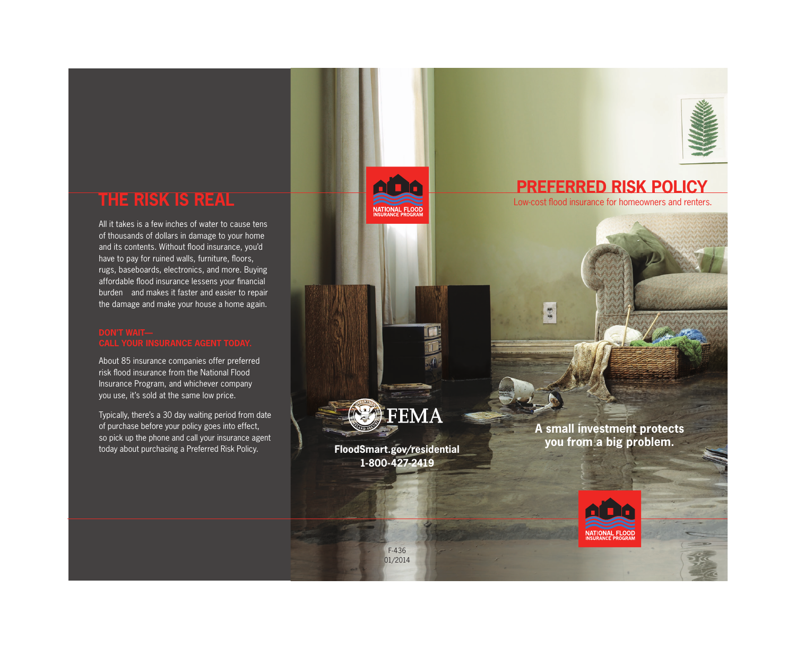

burden and makes it faster and easier to repair All it takes is a few inches of water to cause tens of thousands of dollars in damage to your home and its contents. Without flood insurance, you'd have to pay for ruined walls, furniture, floors, rugs, baseboards, electronics, and more. Buying affordable flood insurance lessens your financial the damage and make your house a home again.

About 85 insurance companies offer preferred risk flood insurance from the National Flood Insurance Program, and whichever company you use, it's sold at the same low price.

- Typically, there's a 30 day waiting period from date of purchase before your policy goes into effect, so pick up the phone and call your insurance agent today about purchasing a Preferred Risk Policy.

**PREFERRED RISK IS REAL PREFERRED RISK POLICY**<br>Low-cost flood insurance for homeowners and renters.



**1-800-427-2419** 

**A small investment protects you from a big problem. [FloodSmart.gov/residential](http://FloodSmart.gov/residential)**